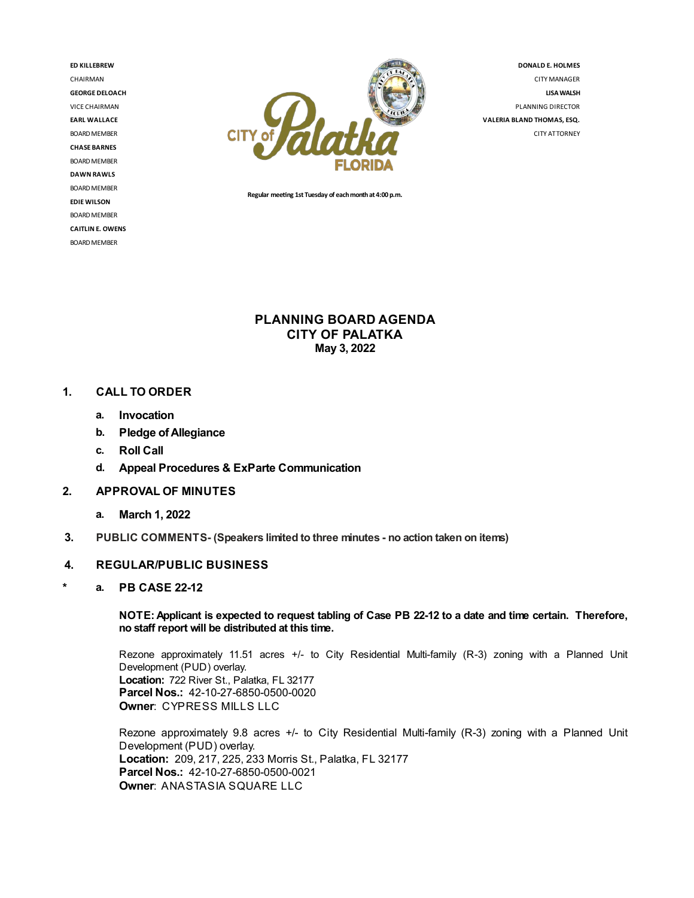**ED KILLEBREW** CHAIRMAN **GEORGE DELOACH** VICE CHAIRMAN **EARL WALLACE** BOARD MEMBER **CHASE BARNES** BOARD MEMBER **DAWN RAWLS** BOARD MEMBER **EDIEWILSON** BOARD MEMBER **CAITLIN E. OWENS** BOARD MEMBER



**DONALD E. HOLMES** CITYMANAGER **LISAWALSH** PLANNING DIRECTOR **VALERIA BLAND THOMAS,ESQ.**

CITY ATTORNEY

**Regular meeng 1st Tuesday of eachmonthat4:00 p.m.**

**PLANNING BOARD AGENDA CITY OF PALATKA May 3, 2022**

### **1. CALL TO ORDER**

- **a. Invocation**
- **b. Pledge ofAllegiance**
- **c. Roll Call**
- **d. Appeal Procedures & ExParte Communication**
- **2. APPROVAL OF MINUTES**
	- **a. March 1, 2022**
- **3. PUBLIC COMMENTS- (Speakers limited to three minutes - no action taken on items)**

#### **4. REGULAR/PUBLIC BUSINESS**

**\* a. PB CASE 22-12**

NOTE: Applicant is expected to request tabling of Case PB 22-12 to a date and time certain. Therefore, **no staff report will be distributed at this time.**

Rezone approximately 11.51 acres +/- to City Residential Multi-family (R-3) zoning with a Planned Unit Development (PUD) overlay. **Location:** 722 River St., Palatka, FL 32177 **Parcel Nos.:** 42-10-27-6850-0500-0020 **Owner**: CYPRESS MILLS LLC

Rezone approximately 9.8 acres +/- to City Residential Multi-family (R-3) zoning with a Planned Unit Development (PUD) overlay. **Location:** 209, 217, 225, 233 Morris St., Palatka, FL 32177 **Parcel Nos.:** 42-10-27-6850-0500-0021 **Owner**: ANASTASIA SQUARE LLC